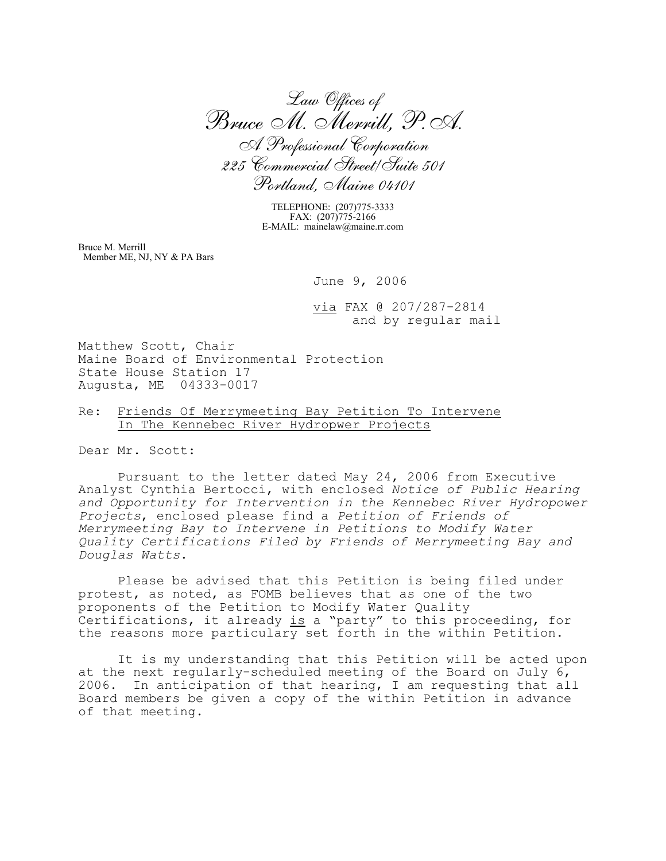*Law Offices of Bruce M. Merrill, P.A. A Professional Corporation 225 Commercial Street/Suite 501 Portland, Maine 04101*

TELEPHONE: (207)775-3333 FAX: (207)775-2166 E-MAIL: mainelaw@maine.rr.com

Bruce M. Merrill Member ME, NJ, NY & PA Bars

June 9, 2006

via FAX @ 207/287-2814 and by regular mail

Matthew Scott, Chair Maine Board of Environmental Protection State House Station 17 Augusta, ME 04333-0017

## Re: Friends Of Merrymeeting Bay Petition To Intervene In The Kennebec River Hydropwer Projects

Dear Mr. Scott:

Pursuant to the letter dated May 24, 2006 from Executive Analyst Cynthia Bertocci, with enclosed *Notice of Public Hearing and Opportunity for Intervention in the Kennebec River Hydropower Projects*, enclosed please find a *Petition of Friends of Merrymeeting Bay to Intervene in Petitions to Modify Water Quality Certifications Filed by Friends of Merrymeeting Bay and Douglas Watts*.

Please be advised that this Petition is being filed under protest, as noted, as FOMB believes that as one of the two proponents of the Petition to Modify Water Quality Certifications, it already is a "party" to this proceeding, for the reasons more particulary set forth in the within Petition.

It is my understanding that this Petition will be acted upon at the next regularly-scheduled meeting of the Board on July 6, 2006. In anticipation of that hearing, I am requesting that all Board members be given a copy of the within Petition in advance of that meeting.